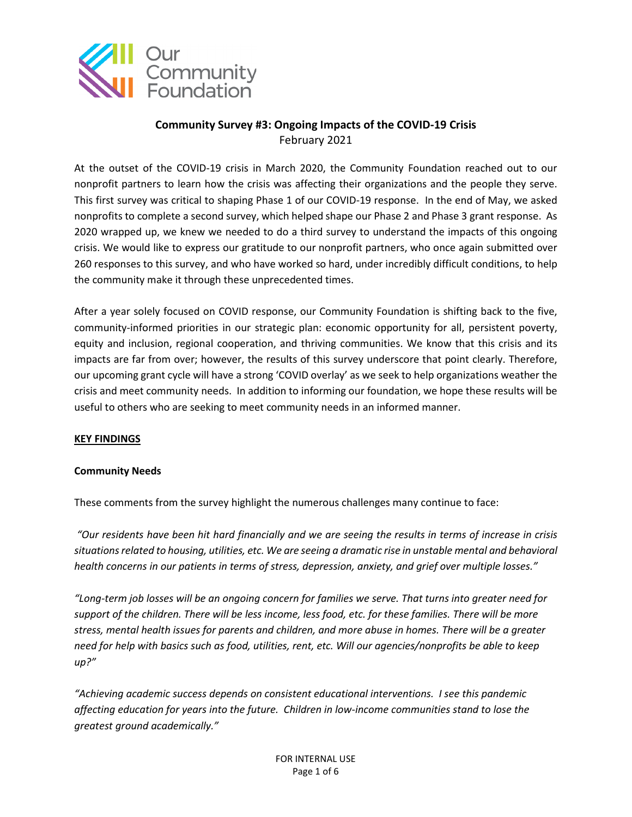

## **Community Survey #3: Ongoing Impacts of the COVID-19 Crisis** February 2021

At the outset of the COVID-19 crisis in March 2020, the Community Foundation reached out to our nonprofit partners to learn how the crisis was affecting their organizations and the people they serve. This first survey was critical to shaping Phase 1 of our COVID-19 response. In the end of May, we asked nonprofits to complete a second survey, which helped shape our Phase 2 and Phase 3 grant response. As 2020 wrapped up, we knew we needed to do a third survey to understand the impacts of this ongoing crisis. We would like to express our gratitude to our nonprofit partners, who once again submitted over 260 responses to this survey, and who have worked so hard, under incredibly difficult conditions, to help the community make it through these unprecedented times.

After a year solely focused on COVID response, our Community Foundation is shifting back to the five, community-informed priorities in our strategic plan: economic opportunity for all, persistent poverty, equity and inclusion, regional cooperation, and thriving communities. We know that this crisis and its impacts are far from over; however, the results of this survey underscore that point clearly. Therefore, our upcoming grant cycle will have a strong 'COVID overlay' as we seek to help organizations weather the crisis and meet community needs. In addition to informing our foundation, we hope these results will be useful to others who are seeking to meet community needs in an informed manner.

## **KEY FINDINGS**

## **Community Needs**

These comments from the survey highlight the numerous challenges many continue to face:

*"Our residents have been hit hard financially and we are seeing the results in terms of increase in crisis situations related to housing, utilities, etc. We are seeing a dramatic rise in unstable mental and behavioral health concerns in our patients in terms of stress, depression, anxiety, and grief over multiple losses."*

*"Long-term job losses will be an ongoing concern for families we serve. That turns into greater need for support of the children. There will be less income, less food, etc. for these families. There will be more stress, mental health issues for parents and children, and more abuse in homes. There will be a greater need for help with basics such as food, utilities, rent, etc. Will our agencies/nonprofits be able to keep up?"*

*"Achieving academic success depends on consistent educational interventions. I see this pandemic affecting education for years into the future. Children in low-income communities stand to lose the greatest ground academically."*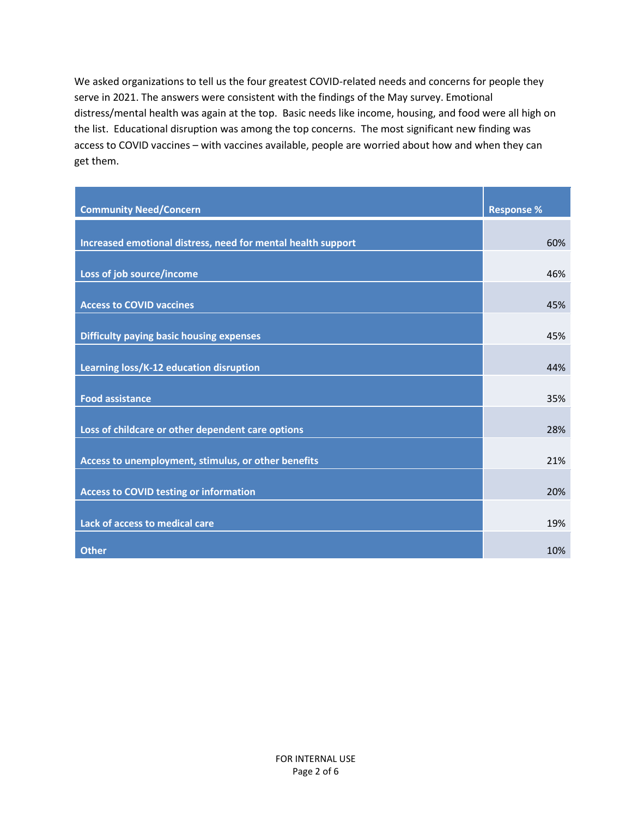We asked organizations to tell us the four greatest COVID-related needs and concerns for people they serve in 2021. The answers were consistent with the findings of the May survey. Emotional distress/mental health was again at the top. Basic needs like income, housing, and food were all high on the list. Educational disruption was among the top concerns. The most significant new finding was access to COVID vaccines – with vaccines available, people are worried about how and when they can get them.

| <b>Community Need/Concern</b>                                | <b>Response %</b> |
|--------------------------------------------------------------|-------------------|
| Increased emotional distress, need for mental health support | 60%               |
| Loss of job source/income                                    | 46%               |
| <b>Access to COVID vaccines</b>                              | 45%               |
| <b>Difficulty paying basic housing expenses</b>              | 45%               |
| Learning loss/K-12 education disruption                      | 44%               |
| <b>Food assistance</b>                                       | 35%               |
| Loss of childcare or other dependent care options            | 28%               |
| Access to unemployment, stimulus, or other benefits          | 21%               |
| <b>Access to COVID testing or information</b>                | 20%               |
|                                                              |                   |
| Lack of access to medical care<br><b>Other</b>               | 19%<br>10%        |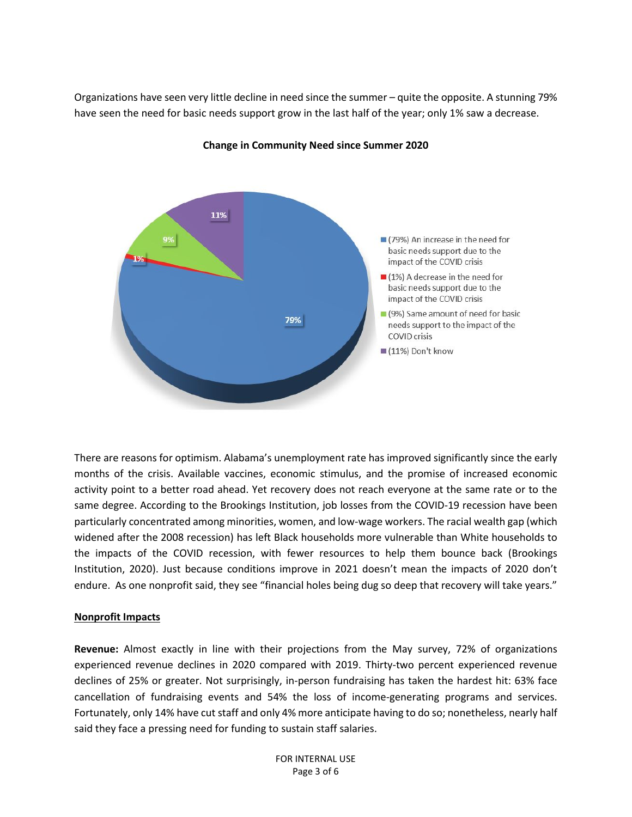Organizations have seen very little decline in need since the summer – quite the opposite. A stunning 79% have seen the need for basic needs support grow in the last half of the year; only 1% saw a decrease.



**Change in Community Need since Summer 2020**

There are reasons for optimism. Alabama's unemployment rate has improved significantly since the early months of the crisis. Available vaccines, economic stimulus, and the promise of increased economic activity point to a better road ahead. Yet recovery does not reach everyone at the same rate or to the same degree. According to the Brookings Institution, job losses from the COVID-19 recession have been particularly concentrated among minorities, women, and low-wage workers. The racial wealth gap (which widened after the 2008 recession) has left Black households more vulnerable than White households to the impacts of the COVID recession, with fewer resources to help them bounce back (Brookings Institution, 2020). Just because conditions improve in 2021 doesn't mean the impacts of 2020 don't endure. As one nonprofit said, they see "financial holes being dug so deep that recovery will take years."

## **Nonprofit Impacts**

**Revenue:** Almost exactly in line with their projections from the May survey, 72% of organizations experienced revenue declines in 2020 compared with 2019. Thirty-two percent experienced revenue declines of 25% or greater. Not surprisingly, in-person fundraising has taken the hardest hit: 63% face cancellation of fundraising events and 54% the loss of income-generating programs and services. Fortunately, only 14% have cut staff and only 4% more anticipate having to do so; nonetheless, nearly half said they face a pressing need for funding to sustain staff salaries.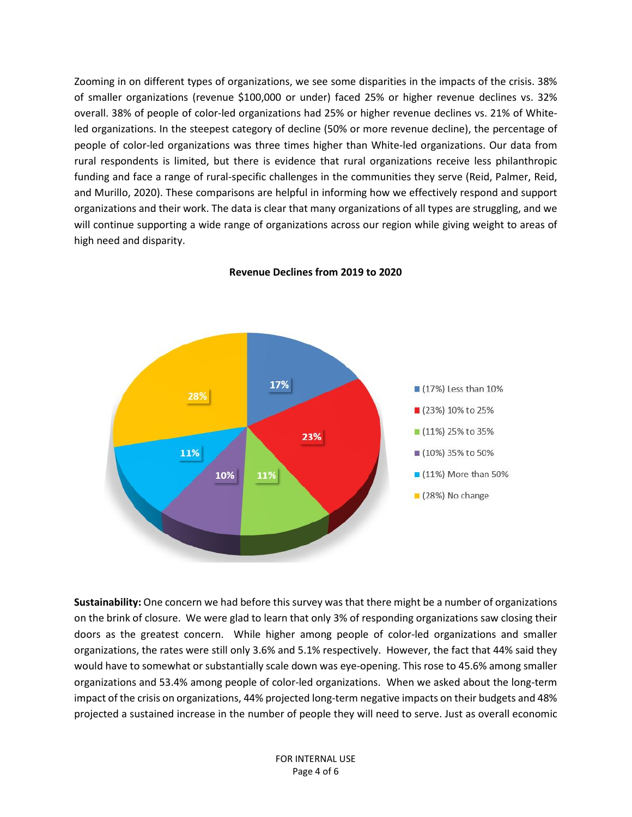Zooming in on different types of organizations, we see some disparities in the impacts of the crisis. 38% of smaller organizations (revenue \$100,000 or under) faced 25% or higher revenue declines vs. 32% overall. 38% of people of color-led organizations had 25% or higher revenue declines vs. 21% of Whiteled organizations. In the steepest category of decline (50% or more revenue decline), the percentage of people of color-led organizations was three times higher than White-led organizations. Our data from rural respondents is limited, but there is evidence that rural organizations receive less philanthropic funding and face a range of rural-specific challenges in the communities they serve (Reid, Palmer, Reid, and Murillo, 2020). These comparisons are helpful in informing how we effectively respond and support organizations and their work. The data is clear that many organizations of all types are struggling, and we will continue supporting a wide range of organizations across our region while giving weight to areas of high need and disparity.



**Revenue Declines from 2019 to 2020**

**Sustainability:** One concern we had before this survey was that there might be a number of organizations on the brink of closure. We were glad to learn that only 3% of responding organizations saw closing their doors as the greatest concern. While higher among people of color-led organizations and smaller organizations, the rates were still only 3.6% and 5.1% respectively. However, the fact that 44% said they would have to somewhat or substantially scale down was eye-opening. This rose to 45.6% among smaller organizations and 53.4% among people of color-led organizations. When we asked about the long-term impact of the crisis on organizations, 44% projected long-term negative impacts on their budgets and 48% projected a sustained increase in the number of people they will need to serve. Just as overall economic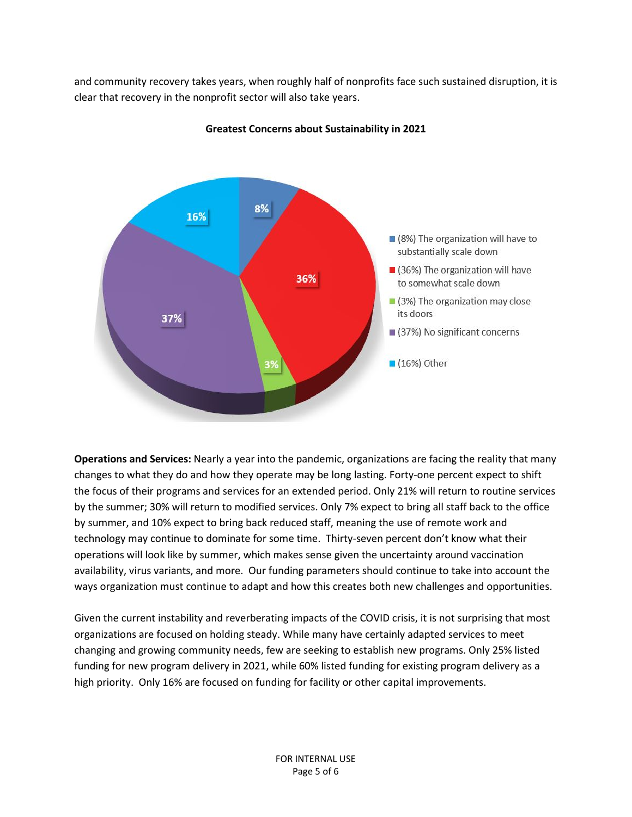and community recovery takes years, when roughly half of nonprofits face such sustained disruption, it is clear that recovery in the nonprofit sector will also take years.



**Greatest Concerns about Sustainability in 2021**

**Operations and Services:** Nearly a year into the pandemic, organizations are facing the reality that many changes to what they do and how they operate may be long lasting. Forty-one percent expect to shift the focus of their programs and services for an extended period. Only 21% will return to routine services by the summer; 30% will return to modified services. Only 7% expect to bring all staff back to the office by summer, and 10% expect to bring back reduced staff, meaning the use of remote work and technology may continue to dominate for some time. Thirty-seven percent don't know what their operations will look like by summer, which makes sense given the uncertainty around vaccination availability, virus variants, and more. Our funding parameters should continue to take into account the ways organization must continue to adapt and how this creates both new challenges and opportunities.

Given the current instability and reverberating impacts of the COVID crisis, it is not surprising that most organizations are focused on holding steady. While many have certainly adapted services to meet changing and growing community needs, few are seeking to establish new programs. Only 25% listed funding for new program delivery in 2021, while 60% listed funding for existing program delivery as a high priority. Only 16% are focused on funding for facility or other capital improvements.